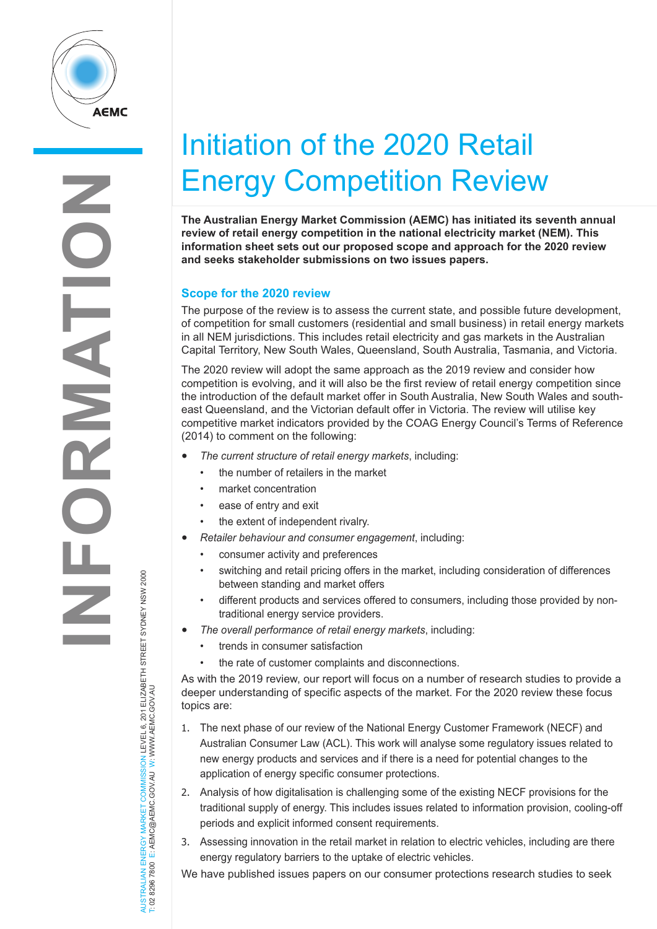

## Initiation of the 2020 Retail Energy Competition Review

**The Australian Energy Market Commission (AEMC) has initiated its seventh annual review of retail energy competition in the national electricity market (NEM). This information sheet sets out our proposed scope and approach for the 2020 review and seeks stakeholder submissions on two issues papers.**

## **Scope for the 2020 review**

The purpose of the review is to assess the current state, and possible future development, of competition for small customers (residential and small business) in retail energy markets in all NEM jurisdictions. This includes retail electricity and gas markets in the Australian Capital Territory, New South Wales, Queensland, South Australia, Tasmania, and Victoria.

The 2020 review will adopt the same approach as the 2019 review and consider how competition is evolving, and it will also be the first review of retail energy competition since the introduction of the default market offer in South Australia, New South Wales and southeast Queensland, and the Victorian default offer in Victoria. The review will utilise key competitive market indicators provided by the COAG Energy Council's Terms of Reference (2014) to comment on the following:

- *The current structure of retail energy markets*, including:
	- the number of retailers in the market
	- market concentration
	- ease of entry and exit
	- the extent of independent rivalry.
- *Retailer behaviour and consumer engagement*, including:
	- consumer activity and preferences
	- switching and retail pricing offers in the market, including consideration of differences between standing and market offers
	- different products and services offered to consumers, including those provided by nontraditional energy service providers.
- *The overall performance of retail energy markets*, including:
	- trends in consumer satisfaction
	- the rate of customer complaints and disconnections.

As with the 2019 review, our report will focus on a number of research studies to provide a deeper understanding of specific aspects of the market. For the 2020 review these focus topics are:

- 1. The next phase of our review of the National Energy Customer Framework (NECF) and Australian Consumer Law (ACL). This work will analyse some regulatory issues related to new energy products and services and if there is a need for potential changes to the application of energy specific consumer protections.
- 2. Analysis of how digitalisation is challenging some of the existing NECF provisions for the traditional supply of energy. This includes issues related to information provision, cooling-off periods and explicit informed consent requirements.
- 3. Assessing innovation in the retail market in relation to electric vehicles, including are there energy regulatory barriers to the uptake of electric vehicles.

We have published issues papers on our consumer protections research studies to seek

AUSTRALIAN ENERGY MARKET COMMISSION LEVEL 6, 201 ELIZABETH STREET SYDNEY NSW 2000<br>T: 02 8296 7800 E: AEMC@AEMC.GOVJAU W: WWW.AEMC.GOVJAU AUSTRALIAN ENERGY MARKET COMMISSION LEVEL 6, 201 ELIZABETH STREET SYDNEY NSW 2000 T: 02 8296 7800 E: AEMC@AEMC.GOV.AU W: WWW.AEMC.GOV.AU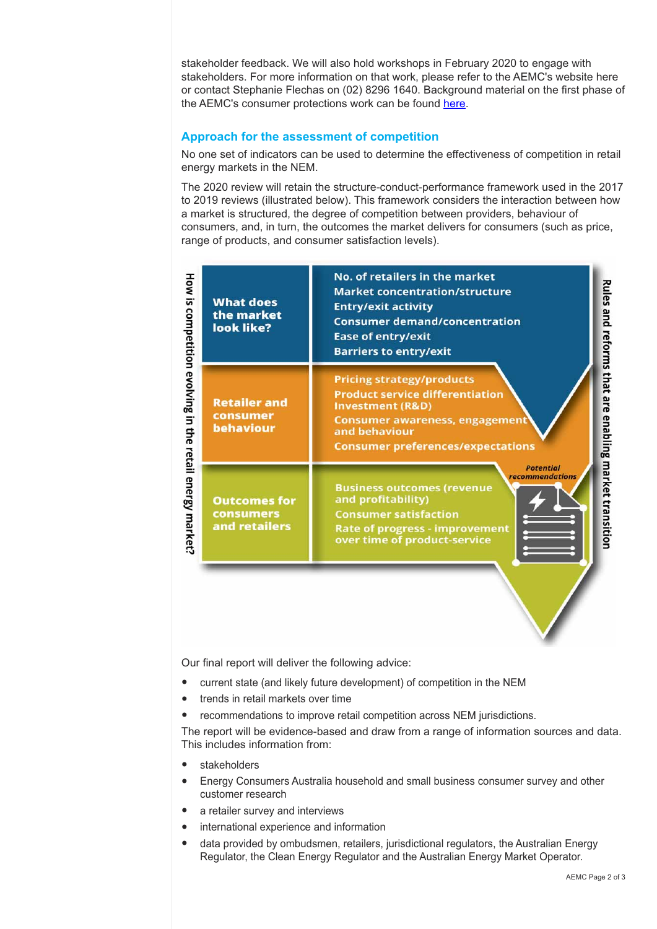stakeholder feedback. We will also hold workshops in February 2020 to engage with stakeholders. For more information on that work, please refer to the AEMC's website here or contact Stephanie Flechas on (02) 8296 1640. Background material on the first phase of the AEMC's consumer protections work can be found [here.](https://www.aemc.gov.au/regulation/energy-rules/NECF-ACL)

## **Approach for the assessment of competition**

No one set of indicators can be used to determine the effectiveness of competition in retail energy markets in the NEM.

The 2020 review will retain the structure-conduct-performance framework used in the 2017 to 2019 reviews (illustrated below). This framework considers the interaction between how a market is structured, the degree of competition between providers, behaviour of consumers, and, in turn, the outcomes the market delivers for consumers (such as price, range of products, and consumer satisfaction levels).



Our final report will deliver the following advice:

- current state (and likely future development) of competition in the NEM
- trends in retail markets over time
- recommendations to improve retail competition across NEM jurisdictions.

The report will be evidence-based and draw from a range of information sources and data. This includes information from:

- **stakeholders**
- Energy Consumers Australia household and small business consumer survey and other customer research
- a retailer survey and interviews
- international experience and information
- data provided by ombudsmen, retailers, jurisdictional regulators, the Australian Energy Regulator, the Clean Energy Regulator and the Australian Energy Market Operator.